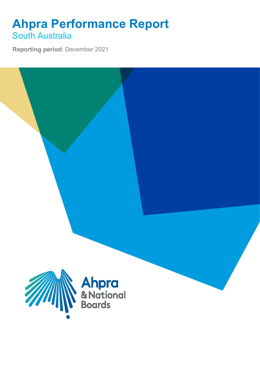## **Ahpra Performance Report** South Australia

**Reporting period**: December 2021

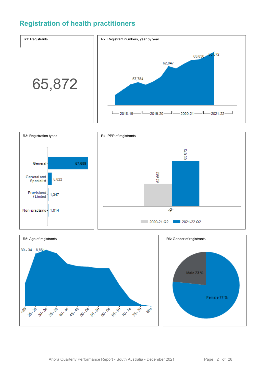### **Registration of health practitioners**





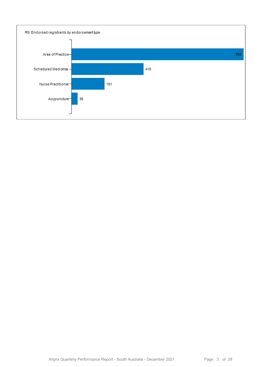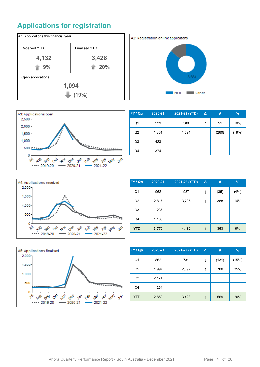## **Applications for registration**







| FY / Qtr       | 2020-21 | 2021-22 (YTD) | $\Delta$ | #     | $\frac{9}{6}$ |
|----------------|---------|---------------|----------|-------|---------------|
| Q1             | 529     | 580           | ↑        | 51    | 10%           |
| Q <sub>2</sub> | 1,354   | 1,094         | ↓        | (260) | (19%)         |
| Q <sub>3</sub> | 423     |               |          |       |               |
| Q4             | 374     |               |          |       |               |



| FY / Qtr       | 2020-21 | 2021-22 (YTD) | Δ | #    | $\%$ |
|----------------|---------|---------------|---|------|------|
| Q <sub>1</sub> | 962     | 927           | ↓ | (35) | (4%) |
| Q2             | 2,817   | 3,205         | ↑ | 388  | 14%  |
| Q <sub>3</sub> | 1,237   |               |   |      |      |
| Q4             | 1,183   |               |   |      |      |
| <b>YTD</b>     | 3,779   | 4,132         | ↑ | 353  | 9%   |



| FY / Qtr       | 2020-21 | 2021-22 (YTD) | Δ | #     | $\%$  |
|----------------|---------|---------------|---|-------|-------|
| Q <sub>1</sub> | 862     | 731           | ↓ | (131) | (15%) |
| Q <sub>2</sub> | 1,997   | 2,697         | ↑ | 700   | 35%   |
| Q <sub>3</sub> | 2,171   |               |   |       |       |
| Q4             | 1,234   |               |   |       |       |
| <b>YTD</b>     | 2,859   | 3,428         | ↑ | 569   | 20%   |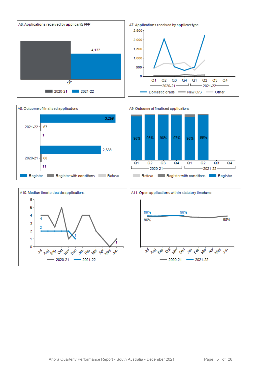



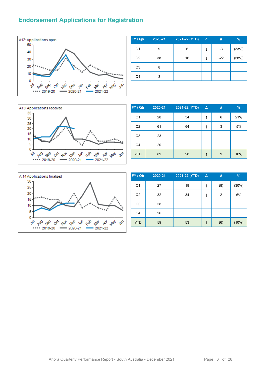#### **Endorsement Applications for Registration**



| FY / Qtr       | 2020-21 | 2021-22 (YTD) | Δ | #     | %     |
|----------------|---------|---------------|---|-------|-------|
| Q <sub>1</sub> | 9       | 6             | ↓ | -3    | (33%) |
| Q2             | 38      | 16            | ↓ | $-22$ | (58%) |
| Q3             | 8       |               |   |       |       |
| Q4             | 3       |               |   |       |       |



| FY / Qtr       | 2020-21 | 2021-22 (YTD) | $\Delta$ | # | $\frac{9}{6}$ |
|----------------|---------|---------------|----------|---|---------------|
| Q <sub>1</sub> | 28      | 34            | ↑        | 6 | 21%           |
| Q2             | 61      | 64            | ↑        | 3 | 5%            |
| Q <sub>3</sub> | 23      |               |          |   |               |
| Q4             | 20      |               |          |   |               |
| <b>YTD</b>     | 89      | 98            | ↑        | 9 | 10%           |



| FY / Qtr       | 2020-21 | 2021-22 (YTD) | $\Delta$ | #              | $\frac{9}{6}$ |
|----------------|---------|---------------|----------|----------------|---------------|
| Q1             | 27      | 19            | ↓        | (8)            | (30%)         |
| Q <sub>2</sub> | 32      | 34            | ↑        | $\overline{2}$ | 6%            |
| Q <sub>3</sub> | 58      |               |          |                |               |
| Q4             | 26      |               |          |                |               |
| <b>YTD</b>     | 59      | 53            | ↓        | (6)            | (10%)         |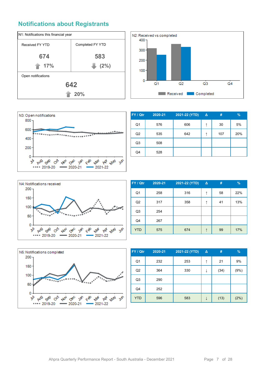#### **Notifications about Registrants**







| FY / Qtr       | 2020-21 | 2021-22 (YTD) | $\Delta$ | #   | $\%$ |
|----------------|---------|---------------|----------|-----|------|
| Q1             | 576     | 606           | ↑        | 30  | 5%   |
| Q <sub>2</sub> | 535     | 642           |          | 107 | 20%  |
| Q <sub>3</sub> | 508     |               |          |     |      |
| Q4             | 528     |               |          |     |      |



| FY / Qtr       | $2020 - 21$ | 2021-22 (YTD) | Δ | #  | $\%$ |
|----------------|-------------|---------------|---|----|------|
| Q <sub>1</sub> | 258         | 316           | ↑ | 58 | 22%  |
| Q <sub>2</sub> | 317         | 358           | ↑ | 41 | 13%  |
| Q <sub>3</sub> | 254         |               |   |    |      |
| Q4             | 267         |               |   |    |      |
| <b>YTD</b>     | 575         | 674           | ↑ | 99 | 17%  |



| FY / Qtr       | 2020-21 | 2021-22 (YTD) | $\Delta$ | #    | $\frac{9}{6}$ |
|----------------|---------|---------------|----------|------|---------------|
| Q <sub>1</sub> | 232     | 253           | ↑        | 21   | 9%            |
| Q2             | 364     | 330           | ↓        | (34) | (9%)          |
| Q <sub>3</sub> | 290     |               |          |      |               |
| Q4             | 252     |               |          |      |               |
| <b>YTD</b>     | 596     | 583           |          | (13) | (2%)          |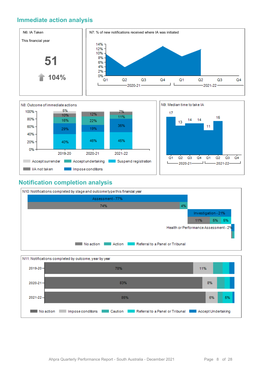#### **Immediate action analysis**





#### **Notification completion analysis**



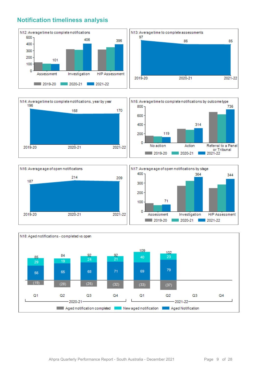#### **Notification timeliness analysis**









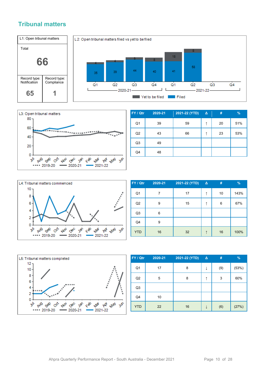#### **Tribunal matters**





| FY / Qtr       | 2020-21 | 2021-22 (YTD) | $\Delta$ | #  | $\frac{9}{6}$ |
|----------------|---------|---------------|----------|----|---------------|
| Q <sub>1</sub> | 39      | 59            | ↑        | 20 | 51%           |
| Q2             | 43      | 66            | ↑        | 23 | 53%           |
| Q <sub>3</sub> | 49      |               |          |    |               |
| Q4             | 48      |               |          |    |               |



| FY / Qtr       | 2020-21 | 2021-22 (YTD) | $\Delta$ | #  | %    |
|----------------|---------|---------------|----------|----|------|
| Q1             | 7       | 17            | ↑        | 10 | 143% |
| Q <sub>2</sub> | 9       | 15            |          | 6  | 67%  |
| Q3             | 6       |               |          |    |      |
| Q4             | 9       |               |          |    |      |
| <b>YTD</b>     | 16      | 32            |          | 16 | 100% |



| FY / Qtr       | 2020-21 | 2021-22 (YTD) | $\Delta$ | #   | $\frac{9}{6}$ |
|----------------|---------|---------------|----------|-----|---------------|
| Q <sub>1</sub> | 17      | 8             | ↓        | (9) | (53%)         |
| Q2             | 5       | 8             | ↑        | 3   | 60%           |
| Q <sub>3</sub> |         |               |          |     |               |
| Q4             | 10      |               |          |     |               |
| <b>YTD</b>     | 22      | 16            | ↓        | (6) | (27%)         |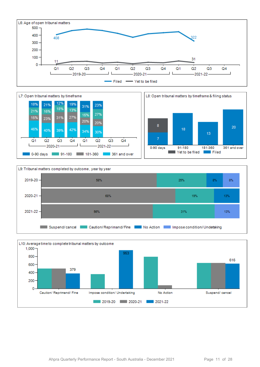







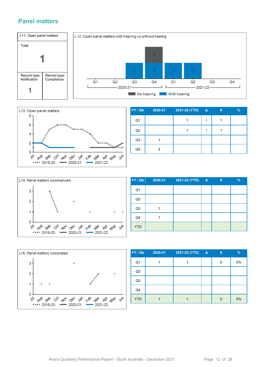#### **Panel matters**





| FY / Qtr       | 2020-21 | 2021-22 (YTD) | $\Delta$ | # | $\frac{9}{6}$ |
|----------------|---------|---------------|----------|---|---------------|
| Q <sub>1</sub> |         |               |          |   |               |
| Q2             |         |               |          |   |               |
| Q <sub>3</sub> |         |               |          |   |               |
| Q4             | 2       |               |          |   |               |



| FY / Qtr       | 2020-21 | 2021-22 (YTD) | $\Delta$ | # | $\frac{9}{6}$ |
|----------------|---------|---------------|----------|---|---------------|
| Q <sub>1</sub> |         |               |          |   |               |
| Q2             |         |               |          |   |               |
| Q <sub>3</sub> |         |               |          |   |               |
| Q4             |         |               |          |   |               |
| <b>YTD</b>     |         |               |          |   |               |



| FY / Qtr       | 2020-21 | 2021-22 (YTD) | $\mathbf{A}$ | # | $\frac{9}{6}$ |
|----------------|---------|---------------|--------------|---|---------------|
| Q <sub>1</sub> |         |               |              | 0 | 0%            |
| Q2             |         |               |              |   |               |
| Q <sub>3</sub> |         |               |              |   |               |
| Q4             |         |               |              |   |               |
| <b>YTD</b>     |         |               |              |   | 0%            |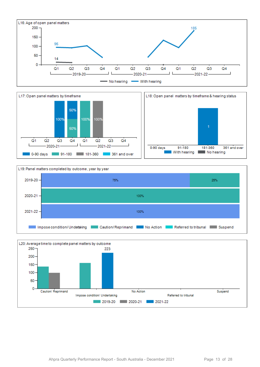







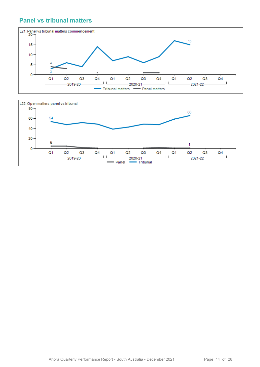#### **Panel vs tribunal matters**



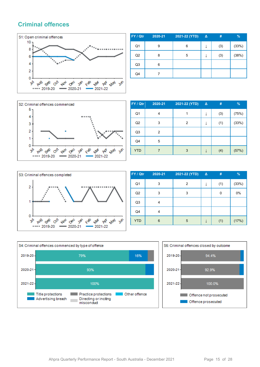#### **Criminal offences**



| FY / Qtr       | 2020-21 | 2021-22 (YTD) | $\Delta$ | #   | $\%$  |
|----------------|---------|---------------|----------|-----|-------|
| Q1             | 9       | 6             | ↓        | (3) | (33%) |
| Q2             | 8       | 5             | ↓        | (3) | (38%) |
| Q <sub>3</sub> | 6       |               |          |     |       |
| Q4             |         |               |          |     |       |



| FY / Qtr   | 2020-21 | 2021-22 (YTD) | $\Delta$ | #   | $\%$  |
|------------|---------|---------------|----------|-----|-------|
| Q1         | 4       |               | ↓        | (3) | (75%) |
| Q2         | 3       | 2             |          | (1) | (33%) |
| Q3         | 2       |               |          |     |       |
| Q4         | 5       |               |          |     |       |
| <b>YTD</b> |         | 3             |          | (4) | (57%) |



| FY / Qtr       | 2020-21 | 2021-22 (YTD) | $\Delta$ | #   | %     |
|----------------|---------|---------------|----------|-----|-------|
| Q1             | 3       | 2             | ↓        | (1) | (33%) |
| Q <sub>2</sub> | 3       | 3             |          | 0   | 0%    |
| Q <sub>3</sub> | 4       |               |          |     |       |
| Q4             | 4       |               |          |     |       |
| <b>YTD</b>     | 6       | 5             |          | (1) | (17%) |



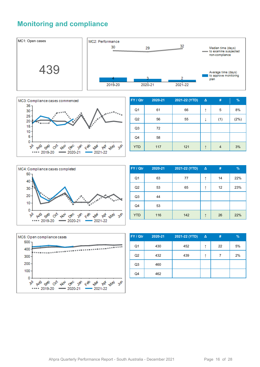#### **Monitoring and compliance**





| FY / Qtr       | 2020-21 | 2021-22 (YTD) | $\Delta$ | #              | %    |
|----------------|---------|---------------|----------|----------------|------|
| Q <sub>1</sub> | 61      | 66            | ↑        | 5              | 8%   |
| Q2             | 56      | 55            |          | (1)            | (2%) |
| Q <sub>3</sub> | 72      |               |          |                |      |
| Q4             | 58      |               |          |                |      |
| <b>YTD</b>     | 117     | 121           | ↑        | $\overline{4}$ | 3%   |



| FY / Qtr       | 2020-21 | 2021-22 (YTD) | $\Delta$ | #  | $\frac{9}{6}$ |
|----------------|---------|---------------|----------|----|---------------|
| Q <sub>1</sub> | 63      | 77            | ↑        | 14 | 22%           |
| Q2             | 53      | 65            | ↑        | 12 | 23%           |
| Q <sub>3</sub> | 44      |               |          |    |               |
| Q4             | 53      |               |          |    |               |
| <b>YTD</b>     | 116     | 142           | ↑        | 26 | 22%           |



| FY / Qtr       | 2020-21 | 2021-22 (YTD) | <b>Δ</b> | #  | %  |
|----------------|---------|---------------|----------|----|----|
| Q <sub>1</sub> | 430     | 452           | ᠰ        | 22 | 5% |
| Q <sub>2</sub> | 432     | 439           | ᠰ        | 7  | 2% |
| Q <sub>3</sub> | 460     |               |          |    |    |
| Q4             | 462     |               |          |    |    |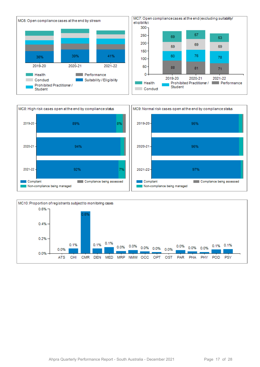



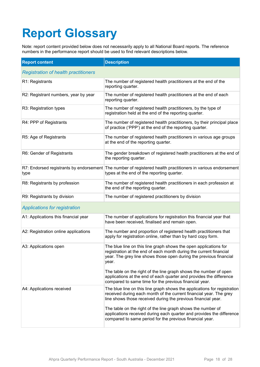# **Report Glossary**

Note: report content provided below does not necessarily apply to all National Board reports. The reference numbers in the performance report should be used to find relevant descriptions below.

| <b>Report content</b>                       | <b>Description</b>                                                                                                                                                                                                    |
|---------------------------------------------|-----------------------------------------------------------------------------------------------------------------------------------------------------------------------------------------------------------------------|
| <b>Registration of health practitioners</b> |                                                                                                                                                                                                                       |
| R1: Registrants                             | The number of registered health practitioners at the end of the<br>reporting quarter.                                                                                                                                 |
| R2: Registrant numbers, year by year        | The number of registered health practitioners at the end of each<br>reporting quarter.                                                                                                                                |
| R3: Registration types                      | The number of registered health practitioners, by the type of<br>registration held at the end of the reporting quarter.                                                                                               |
| R4: PPP of Registrants                      | The number of registered health practitioners, by their principal place<br>of practice ('PPP') at the end of the reporting quarter.                                                                                   |
| R5: Age of Registrants                      | The number of registered health practitioners in various age groups<br>at the end of the reporting quarter.                                                                                                           |
| R6: Gender of Registrants                   | The gender breakdown of registered health practitioners at the end of<br>the reporting quarter.                                                                                                                       |
| type                                        | R7: Endorsed registrants by endorsement The number of registered health practitioners in various endorsement<br>types at the end of the reporting quarter.                                                            |
| R8: Registrants by profession               | The number of registered health practitioners in each profession at<br>the end of the reporting quarter.                                                                                                              |
| R9: Registrants by division                 | The number of registered practitioners by division                                                                                                                                                                    |
| <b>Applications for registration</b>        |                                                                                                                                                                                                                       |
| A1: Applications this financial year        | The number of applications for registration this financial year that<br>have been received, finalised and remain open.                                                                                                |
| A2: Registration online applications        | The number and proportion of registered health practitioners that<br>apply for registration online, rather than by hard copy form.                                                                                    |
| A3: Applications open                       | The blue line on this line graph shows the open applications for<br>registration at the end of each month during the current financial<br>year. The grey line shows those open during the previous financial<br>year. |
|                                             | The table on the right of the line graph shows the number of open<br>applications at the end of each quarter and provides the difference<br>compared to same time for the previous financial year.                    |
| A4: Applications received                   | The blue line on this line graph shows the applications for registration<br>received during each month of the current financial year. The grey<br>line shows those received during the previous financial year.       |
|                                             | The table on the right of the line graph shows the number of<br>applications received during each quarter and provides the difference<br>compared to same period for the previous financial year.                     |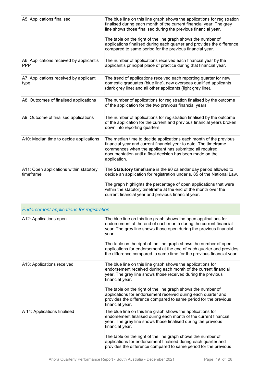| A5: Applications finalised                             | The blue line on this line graph shows the applications for registration<br>finalised during each month of the current financial year. The grey<br>line shows those finalised during the previous financial year.<br>The table on the right of the line graph shows the number of                                                           |
|--------------------------------------------------------|---------------------------------------------------------------------------------------------------------------------------------------------------------------------------------------------------------------------------------------------------------------------------------------------------------------------------------------------|
|                                                        | applications finalised during each quarter and provides the difference<br>compared to same period for the previous financial year.                                                                                                                                                                                                          |
| A6: Applications received by applicant's<br><b>PPP</b> | The number of applications received each financial year by the<br>applicant's principal place of practice during that financial year.                                                                                                                                                                                                       |
| A7: Applications received by applicant<br>type         | The trend of applications received each reporting quarter for new<br>domestic graduates (blue line), new overseas qualified applicants<br>(dark grey line) and all other applicants (light grey line).                                                                                                                                      |
| A8: Outcomes of finalised applications                 | The number of applications for registration finalised by the outcome<br>of the application for the two previous financial years.                                                                                                                                                                                                            |
| A9: Outcome of finalised applications                  | The number of applications for registration finalised by the outcome<br>of the application for the current and previous financial years broken<br>down into reporting quarters.                                                                                                                                                             |
| A10: Median time to decide applications                | The median time to decide applications each month of the previous<br>financial year and current financial year to date. The timeframe<br>commences when the applicant has submitted all required<br>documentation until a final decision has been made on the<br>application.                                                               |
| A11: Open applications within statutory<br>timeframe   | The Statutory timeframe is the 90 calendar day period allowed to<br>decide an application for registration under s. 85 of the National Law.<br>The graph highlights the percentage of open applications that were<br>within the statutory timeframe at the end of the month over the<br>current financial year and previous financial year. |
| <b>Endorsement applications for registration</b>       |                                                                                                                                                                                                                                                                                                                                             |
| A12: Applications open                                 | The blue line on this line graph shows the open applications for<br>endorsement at the end of each month during the current financial<br>year. The grey line shows those open during the previous financial<br>year.                                                                                                                        |
|                                                        | The table on the right of the line graph shows the number of open<br>applications for endorsement at the end of each quarter and provides<br>the difference compared to same time for the previous financial year.                                                                                                                          |
| A13: Applications received                             | The blue line on this line graph shows the applications for<br>endorsement received during each month of the current financial<br>year. The grey line shows those received during the previous<br>financial year.                                                                                                                           |
|                                                        | The table on the right of the line graph shows the number of<br>applications for endorsement received during each quarter and<br>provides the difference compared to same period for the previous<br>financial year.                                                                                                                        |
| A 14: Applications finalised                           | The blue line on this line graph shows the applications for<br>endorsement finalised during each month of the current financial<br>year. The grey line shows those finalised during the previous<br>financial year.                                                                                                                         |
|                                                        | The table on the right of the line graph shows the number of<br>applications for endorsement finalised during each quarter and<br>provides the difference compared to same period for the previous                                                                                                                                          |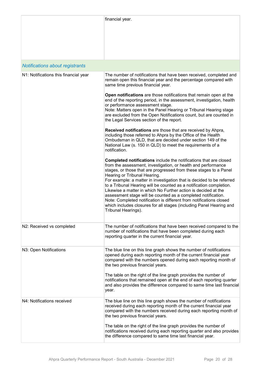|                                       | financial year.                                                                                                                                                                                                                                                                                                                                                                                                                                                                                                                                                                                                                                                                                 |
|---------------------------------------|-------------------------------------------------------------------------------------------------------------------------------------------------------------------------------------------------------------------------------------------------------------------------------------------------------------------------------------------------------------------------------------------------------------------------------------------------------------------------------------------------------------------------------------------------------------------------------------------------------------------------------------------------------------------------------------------------|
| Notifications about registrants       |                                                                                                                                                                                                                                                                                                                                                                                                                                                                                                                                                                                                                                                                                                 |
| N1: Notifications this financial year | The number of notifications that have been received, completed and<br>remain open this financial year and the percentage compared with<br>same time previous financial year.                                                                                                                                                                                                                                                                                                                                                                                                                                                                                                                    |
|                                       | Open notifications are those notifications that remain open at the<br>end of the reporting period, in the assessment, investigation, health<br>or performance assessment stage.<br>Note: Matters open in the Panel Hearing or Tribunal Hearing stage<br>are excluded from the Open Notifications count, but are counted in<br>the Legal Services section of the report.                                                                                                                                                                                                                                                                                                                         |
|                                       | Received notifications are those that are received by Ahpra,<br>including those referred to Ahpra by the Office of the Health<br>Ombudsman in QLD, that are decided under section 149 of the<br>National Law (s. 150 in QLD) to meet the requirements of a<br>notification.                                                                                                                                                                                                                                                                                                                                                                                                                     |
|                                       | Completed notifications include the notifications that are closed<br>from the assessment, investigation, or health and performance<br>stages, or those that are progressed from these stages to a Panel<br>Hearing or Tribunal Hearing.<br>For example: a matter in investigation that is decided to be referred<br>to a Tribunal Hearing will be counted as a notification completion.<br>Likewise a matter in which No Further action is decided at the<br>assessment stage will be counted as a completed notification.<br>Note: Completed notification is different from notifications closed<br>which includes closures for all stages (including Panel Hearing and<br>Tribunal Hearings). |
| N2: Received vs completed             | The number of notifications that have been received compared to the<br>number of notifications that have been completed during each<br>reporting quarter in the current financial year.                                                                                                                                                                                                                                                                                                                                                                                                                                                                                                         |
| N3: Open Notifications                | The blue line on this line graph shows the number of notifications<br>opened during each reporting month of the current financial year<br>compared with the numbers opened during each reporting month of<br>the two previous financial years.<br>The table on the right of the line graph provides the number of<br>notifications that remained open at the end of each reporting quarter<br>and also provides the difference compared to same time last financial<br>year.                                                                                                                                                                                                                    |
| N4: Notifications received            | The blue line on this line graph shows the number of notifications<br>received during each reporting month of the current financial year<br>compared with the numbers received during each reporting month of<br>the two previous financial years.<br>The table on the right of the line graph provides the number of                                                                                                                                                                                                                                                                                                                                                                           |
|                                       | notifications received during each reporting quarter and also provides<br>the difference compared to same time last financial year.                                                                                                                                                                                                                                                                                                                                                                                                                                                                                                                                                             |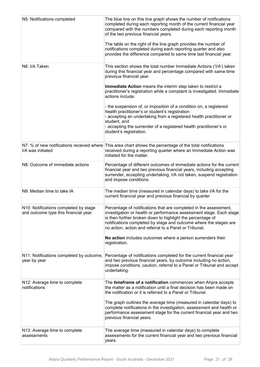| N5: Notifications completed                                                   | The blue line on this line graph shows the number of notifications<br>completed during each reporting month of the current financial year<br>compared with the numbers completed during each reporting month<br>of the two previous financial years.<br>The table on the right of the line graph provides the number of<br>notifications completed during each reporting quarter and also<br>provides the difference compared to same time last financial year. |
|-------------------------------------------------------------------------------|-----------------------------------------------------------------------------------------------------------------------------------------------------------------------------------------------------------------------------------------------------------------------------------------------------------------------------------------------------------------------------------------------------------------------------------------------------------------|
| N6: I/A Taken                                                                 | This section shows the total number Immediate Actions ('I/A') taken<br>during this financial year and percentage compared with same time<br>previous financial year.                                                                                                                                                                                                                                                                                            |
|                                                                               | Immediate Action means the interim step taken to restrict a<br>practitioner's registration while a complaint is investigated. Immediate<br>actions include:                                                                                                                                                                                                                                                                                                     |
|                                                                               | - the suspension of, or imposition of a condition on, a registered<br>health practitioner's or student's registration<br>- accepting an undertaking from a registered health practitioner or<br>student, and<br>- accepting the surrender of a registered health practitioner's or<br>student's registration.                                                                                                                                                   |
| I/A was initiated                                                             | N7: % of new notifications received where This area chart shows the percentage of the total notifications<br>received during a reporting quarter where an Immediate Action was<br>initiated for the matter.                                                                                                                                                                                                                                                     |
| N8: Outcome of immediate actions                                              | Percentage of different outcomes of immediate actions for the current<br>financial year and two previous financial years, including accepting<br>surrender, accepting undertaking, I/A not taken, suspend registration<br>and impose conditions.                                                                                                                                                                                                                |
| N9: Median time to take IA                                                    | The median time (measured in calendar days) to take I/A for the<br>current financial year and previous financial by quarter                                                                                                                                                                                                                                                                                                                                     |
| N10: Notifications completed by stage<br>and outcome type this financial year | Percentage of notifications that are completed in the assessment,<br>investigation or health or performance assessment stage. Each stage<br>is then further broken down to highlight the percentage of<br>notifications completed by stage and outcome where the stages are<br>no action, action and referral to a Panel or Tribunal.                                                                                                                           |
|                                                                               | No action includes outcomes where a person surrenders their<br>registration.                                                                                                                                                                                                                                                                                                                                                                                    |
| N11: Notifications completed by outcome,<br>year by year                      | Percentage of notifications completed for the current financial year<br>and two previous financial years, by outcome including no action,<br>impose conditions, caution, referral to a Panel or Tribunal and accept<br>undertaking.                                                                                                                                                                                                                             |
| N12: Average time to complete<br>notifications                                | The timeframe of a notification commences when Ahpra accepts<br>the matter as a notification until a final decision has been made on<br>the notification or it is referred to a Panel or Tribunal.                                                                                                                                                                                                                                                              |
|                                                                               | The graph outlines the average time (measured in calendar days) to<br>complete notifications in the investigation, assessment and health or<br>performance assessment stage for the current financial year and two<br>previous financial years.                                                                                                                                                                                                                 |
| N13: Average time to complete<br>assessments                                  | The average time (measured in calendar days) to complete<br>assessments for the current financial year and two previous financial<br>years.                                                                                                                                                                                                                                                                                                                     |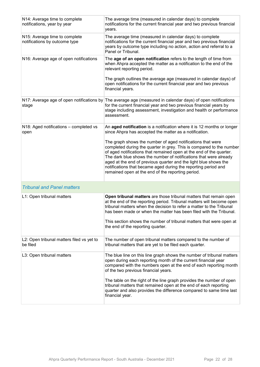| N14: Average time to complete<br>notifications, year by year   | The average time (measured in calendar days) to complete<br>notifications for the current financial year and two previous financial<br>years.                                                                                                                                                                                                                                                                                                                             |
|----------------------------------------------------------------|---------------------------------------------------------------------------------------------------------------------------------------------------------------------------------------------------------------------------------------------------------------------------------------------------------------------------------------------------------------------------------------------------------------------------------------------------------------------------|
| N15: Average time to complete<br>notifications by outcome type | The average time (measured in calendar days) to complete<br>notifications for the current financial year and two previous financial<br>years by outcome type including no action, action and referral to a<br>Panel or Tribunal.                                                                                                                                                                                                                                          |
| N16: Average age of open notifications                         | The age of an open notification refers to the length of time from<br>when Ahpra accepted the matter as a notification to the end of the<br>relevant reporting period.                                                                                                                                                                                                                                                                                                     |
|                                                                | The graph outlines the average age (measured in calendar days) of<br>open notifications for the current financial year and two previous<br>financial years.                                                                                                                                                                                                                                                                                                               |
| stage                                                          | N17: Average age of open notifications by The average age (measured in calendar days) of open notifications<br>for the current financial year and two previous financial years by<br>stage including assessment, investigation and health or performance<br>assessment.                                                                                                                                                                                                   |
| N18: Aged notifications - completed vs<br>open                 | An aged notification is a notification where it is 12 months or longer<br>since Ahpra has accepted the matter as a notification.                                                                                                                                                                                                                                                                                                                                          |
|                                                                | The graph shows the number of aged notifications that were<br>completed during the quarter in grey. This is compared to the number<br>of aged notifications that remained open at the end of the quarter.<br>The dark blue shows the number of notifications that were already<br>aged at the end of previous quarter and the light blue shows the<br>notifications that became aged during the reporting period and<br>remained open at the end of the reporting period. |
| <b>Tribunal and Panel matters</b>                              |                                                                                                                                                                                                                                                                                                                                                                                                                                                                           |
| L1: Open tribunal matters                                      | Open tribunal matters are those tribunal matters that remain open<br>at the end of the reporting period. Tribunal matters will become open<br>tribunal matters when the decision to refer a matter to the Tribunal<br>has been made or when the matter has been filed with the Tribunal.<br>This section shows the number of tribunal matters that were open at<br>the end of the reporting quarter.                                                                      |
| L2: Open tribunal matters filed vs yet to<br>be filed          | The number of open tribunal matters compared to the number of<br>tribunal matters that are yet to be filed each quarter.                                                                                                                                                                                                                                                                                                                                                  |
| L3: Open tribunal matters                                      | The blue line on this line graph shows the number of tribunal matters<br>open during each reporting month of the current financial year<br>compared with the numbers open at the end of each reporting month<br>of the two previous financial years.                                                                                                                                                                                                                      |
|                                                                | The table on the right of the line graph provides the number of open<br>tribunal matters that remained open at the end of each reporting<br>quarter and also provides the difference compared to same time last<br>financial year.                                                                                                                                                                                                                                        |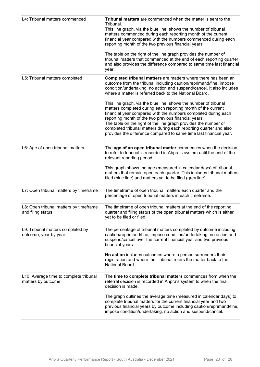| L4: Tribunal matters commenced                               | Tribunal matters are commenced when the matter is sent to the<br>Tribunal.<br>This line graph, via the blue line, shows the number of tribunal<br>matters commenced during each reporting month of the current<br>financial year compared with the numbers commenced during each<br>reporting month of the two previous financial years.<br>The table on the right of the line graph provides the number of<br>tribunal matters that commenced at the end of each reporting quarter<br>and also provides the difference compared to same time last financial<br>year.                                                                                                                                                                                      |
|--------------------------------------------------------------|------------------------------------------------------------------------------------------------------------------------------------------------------------------------------------------------------------------------------------------------------------------------------------------------------------------------------------------------------------------------------------------------------------------------------------------------------------------------------------------------------------------------------------------------------------------------------------------------------------------------------------------------------------------------------------------------------------------------------------------------------------|
| L5: Tribunal matters completed                               | <b>Completed tribunal matters</b> are matters where there has been an<br>outcome from the tribunal including caution/reprimand/fine, impose<br>condition/undertaking, no action and suspend/cancel. It also includes<br>where a matter is referred back to the National Board.<br>This line graph, via the blue line, shows the number of tribunal<br>matters completed during each reporting month of the current<br>financial year compared with the numbers completed during each<br>reporting month of the two previous financial years.<br>The table on the right of the line graph provides the number of<br>completed tribunal matters during each reporting quarter and also<br>provides the difference compared to same time last financial year. |
| L6: Age of open tribunal matters                             | The age of an open tribunal matter commences when the decision<br>to refer to tribunal is recorded in Ahpra's system until the end of the<br>relevant reporting period.<br>This graph shows the age (measured in calendar days) of tribunal<br>matters that remain open each quarter. This includes tribunal matters<br>filed (blue line) and matters yet to be filed (grey line).                                                                                                                                                                                                                                                                                                                                                                         |
| L7: Open tribunal matters by timeframe                       | The timeframe of open tribunal matters each quarter and the<br>percentage of open tribunal matters in each timeframe.                                                                                                                                                                                                                                                                                                                                                                                                                                                                                                                                                                                                                                      |
| L8: Open tribunal matters by timeframe<br>and filing status  | The timeframe of open tribunal matters at the end of the reporting<br>quarter and filing status of the open tribunal matters which is either<br>yet to be filed or filed.                                                                                                                                                                                                                                                                                                                                                                                                                                                                                                                                                                                  |
| L9: Tribunal matters completed by<br>outcome, year by year   | The percentage of tribunal matters completed by outcome including<br>caution/reprimand/fine, impose condition/undertaking, no action and<br>suspend/cancel over the current financial year and two previous<br>financial years.<br>No action includes outcomes where a person surrenders their<br>registration and where the Tribunal refers the matter back to the<br>National Board.                                                                                                                                                                                                                                                                                                                                                                     |
| L10: Average time to complete tribunal<br>matters by outcome | The time to complete tribunal matters commences from when the<br>referral decision is recorded in Ahpra's system to when the final<br>decision is made.<br>The graph outlines the average time (measured in calendar days) to<br>complete tribunal matters for the current financial year and two<br>previous financial years by outcome including caution/reprimand/fine,<br>impose condition/undertaking, no action and suspend/cancel.                                                                                                                                                                                                                                                                                                                  |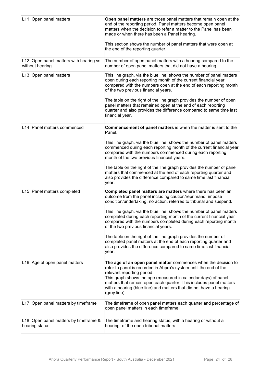| L11: Open panel matters                                    | Open panel matters are those panel matters that remain open at the<br>end of the reporting period. Panel matters become open panel<br>matters when the decision to refer a matter to the Panel has been<br>made or when there has been a Panel hearing.<br>This section shows the number of panel matters that were open at<br>the end of the reporting quarter.                               |
|------------------------------------------------------------|------------------------------------------------------------------------------------------------------------------------------------------------------------------------------------------------------------------------------------------------------------------------------------------------------------------------------------------------------------------------------------------------|
| L12: Open panel matters with hearing vs<br>without hearing | The number of open panel matters with a hearing compared to the<br>number of open panel matters that did not have a hearing.                                                                                                                                                                                                                                                                   |
| L13: Open panel matters                                    | This line graph, via the blue line, shows the number of panel matters<br>open during each reporting month of the current financial year<br>compared with the numbers open at the end of each reporting month<br>of the two previous financial years.                                                                                                                                           |
|                                                            | The table on the right of the line graph provides the number of open<br>panel matters that remained open at the end of each reporting<br>quarter and also provides the difference compared to same time last<br>financial year.                                                                                                                                                                |
| L14: Panel matters commenced                               | <b>Commencement of panel matters is when the matter is sent to the</b><br>Panel.                                                                                                                                                                                                                                                                                                               |
|                                                            | This line graph, via the blue line, shows the number of panel matters<br>commenced during each reporting month of the current financial year<br>compared with the numbers commenced during each reporting<br>month of the two previous financial years.                                                                                                                                        |
|                                                            | The table on the right of the line graph provides the number of panel<br>matters that commenced at the end of each reporting quarter and<br>also provides the difference compared to same time last financial<br>year.                                                                                                                                                                         |
| L15: Panel matters completed                               | Completed panel matters are matters where there has been an<br>outcome from the panel including caution/reprimand, impose<br>condition/undertaking, no action, referred to tribunal and suspend.                                                                                                                                                                                               |
|                                                            | This line graph, via the blue line, shows the number of panel matters<br>completed during each reporting month of the current financial year<br>compared with the numbers completed during each reporting month<br>of the two previous financial years.                                                                                                                                        |
|                                                            | The table on the right of the line graph provides the number of<br>completed panel matters at the end of each reporting quarter and<br>also provides the difference compared to same time last financial<br>year.                                                                                                                                                                              |
| L16: Age of open panel matters                             | The age of an open panel matter commences when the decision to<br>refer to panel is recorded in Ahpra's system until the end of the<br>relevant reporting period.<br>This graph shows the age (measured in calendar days) of panel<br>matters that remain open each quarter. This includes panel matters<br>with a hearing (blue line) and matters that did not have a hearing<br>(grey line). |
| L17: Open panel matters by timeframe                       | The timeframe of open panel matters each quarter and percentage of<br>open panel matters in each timeframe.                                                                                                                                                                                                                                                                                    |
| L18: Open panel matters by timeframe &<br>hearing status   | The timeframe and hearing status, with a hearing or without a<br>hearing, of the open tribunal matters.                                                                                                                                                                                                                                                                                        |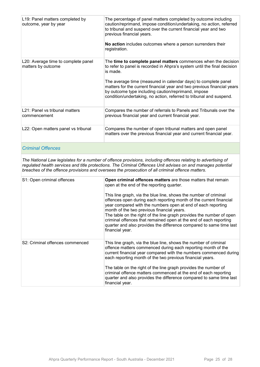| L19: Panel matters completed by<br>outcome, year by year  | The percentage of panel matters completed by outcome including<br>caution/reprimand, impose condition/undertaking, no action, referred<br>to tribunal and suspend over the current financial year and two<br>previous financial years.<br>No action includes outcomes where a person surrenders their<br>registration.                                                                                                            |
|-----------------------------------------------------------|-----------------------------------------------------------------------------------------------------------------------------------------------------------------------------------------------------------------------------------------------------------------------------------------------------------------------------------------------------------------------------------------------------------------------------------|
| L20: Average time to complete panel<br>matters by outcome | The time to complete panel matters commences when the decision<br>to refer to panel is recorded in Ahpra's system until the final decision<br>is made.<br>The average time (measured in calendar days) to complete panel<br>matters for the current financial year and two previous financial years<br>by outcome type including caution/reprimand, impose<br>condition/undertaking, no action, referred to tribunal and suspend. |
| L21: Panel vs tribunal matters<br>commencement            | Compares the number of referrals to Panels and Tribunals over the<br>previous financial year and current financial year.                                                                                                                                                                                                                                                                                                          |
| L22: Open matters panel vs tribunal                       | Compares the number of open tribunal matters and open panel<br>matters over the previous financial year and current financial year.                                                                                                                                                                                                                                                                                               |

#### *Criminal Offences*

*The National Law legislates for a number of offence provisions, including offences relating to advertising of regulated health services and title protections. The Criminal Offences Unit advises on and manages potential breaches of the offence provisions and oversees the prosecution of all criminal offence matters.*

| S1: Open criminal offences      | Open criminal offences matters are those matters that remain<br>open at the end of the reporting quarter.<br>This line graph, via the blue line, shows the number of criminal<br>offences open during each reporting month of the current financial<br>year compared with the numbers open at end of each reporting<br>month of the two previous financial years.<br>The table on the right of the line graph provides the number of open<br>criminal offences that remained open at the end of each reporting<br>quarter and also provides the difference compared to same time last<br>financial year. |
|---------------------------------|----------------------------------------------------------------------------------------------------------------------------------------------------------------------------------------------------------------------------------------------------------------------------------------------------------------------------------------------------------------------------------------------------------------------------------------------------------------------------------------------------------------------------------------------------------------------------------------------------------|
| S2: Criminal offences commenced | This line graph, via the blue line, shows the number of criminal<br>offence matters commenced during each reporting month of the<br>current financial year compared with the numbers commenced during<br>each reporting month of the two previous financial years.<br>The table on the right of the line graph provides the number of<br>criminal offence matters commenced at the end of each reporting<br>quarter and also provides the difference compared to same time last<br>financial year.                                                                                                       |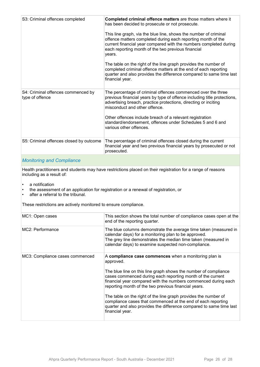| S3: Criminal offences completed                       | Completed criminal offence matters are those matters where it<br>has been decided to prosecute or not prosecute.<br>This line graph, via the blue line, shows the number of criminal<br>offence matters completed during each reporting month of the<br>current financial year compared with the numbers completed during<br>each reporting month of the two previous financial<br>years.<br>The table on the right of the line graph provides the number of<br>completed criminal offence matters at the end of each reporting<br>quarter and also provides the difference compared to same time last<br>financial year. |
|-------------------------------------------------------|---------------------------------------------------------------------------------------------------------------------------------------------------------------------------------------------------------------------------------------------------------------------------------------------------------------------------------------------------------------------------------------------------------------------------------------------------------------------------------------------------------------------------------------------------------------------------------------------------------------------------|
| S4: Criminal offences commenced by<br>type of offence | The percentage of criminal offences commenced over the three<br>previous financial years by type of offence including title protections,<br>advertising breach, practice protections, directing or inciting<br>misconduct and other offence.<br>Other offences include breach of a relevant registration<br>standard/endorsement, offences under Schedules 5 and 6 and<br>various other offences.                                                                                                                                                                                                                         |
| S5: Criminal offences closed by outcome               | The percentage of criminal offences closed during the current<br>financial year and two previous financial years by prosecuted or not<br>prosecuted.                                                                                                                                                                                                                                                                                                                                                                                                                                                                      |
|                                                       |                                                                                                                                                                                                                                                                                                                                                                                                                                                                                                                                                                                                                           |

#### *Monitoring and Compliance*

Health practitioners and students may have restrictions placed on their registration for a range of reasons including as a result of:

- a notification
- the assessment of an application for registration or a renewal of registration, or
- after a referral to the tribunal.

These restrictions are actively monitored to ensure compliance.

| MC1: Open cases                 | This section shows the total number of compliance cases open at the<br>end of the reporting quarter.                                                                                                                                                                                                                                                                                                                                                                                                                                                       |
|---------------------------------|------------------------------------------------------------------------------------------------------------------------------------------------------------------------------------------------------------------------------------------------------------------------------------------------------------------------------------------------------------------------------------------------------------------------------------------------------------------------------------------------------------------------------------------------------------|
| MC2: Performance                | The blue columns demonstrate the average time taken (measured in<br>calendar days) for a monitoring plan to be approved.<br>The grey line demonstrates the median time taken (measured in<br>calendar days) to examine suspected non-compliance.                                                                                                                                                                                                                                                                                                           |
| MC3: Compliance cases commenced | A compliance case commences when a monitoring plan is<br>approved.<br>The blue line on this line graph shows the number of compliance<br>cases commenced during each reporting month of the current<br>financial year compared with the numbers commenced during each<br>reporting month of the two previous financial years.<br>The table on the right of the line graph provides the number of<br>compliance cases that commenced at the end of each reporting<br>quarter and also provides the difference compared to same time last<br>financial year. |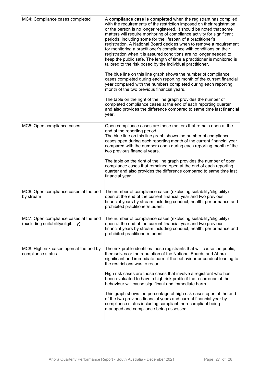| MC4: Compliance cases completed                                              | A compliance case is completed when the registrant has complied<br>with the requirements of the restriction imposed on their registration<br>or the person is no longer registered. It should be noted that some<br>matters will require monitoring of compliance activity for significant<br>periods, including some for the lifespan of a practitioner's<br>registration. A National Board decides when to remove a requirement<br>for monitoring a practitioner's compliance with conditions on their<br>registration when it is assured conditions are no longer needed to<br>keep the public safe. The length of time a practitioner is monitored is<br>tailored to the risk posed by the individual practitioner.<br>The blue line on this line graph shows the number of compliance<br>cases completed during each reporting month of the current financial<br>year compared with the numbers completed during each reporting<br>month of the two previous financial years.<br>The table on the right of the line graph provides the number of<br>completed compliance cases at the end of each reporting quarter<br>and also provides the difference compared to same time last financial<br>year. |
|------------------------------------------------------------------------------|------------------------------------------------------------------------------------------------------------------------------------------------------------------------------------------------------------------------------------------------------------------------------------------------------------------------------------------------------------------------------------------------------------------------------------------------------------------------------------------------------------------------------------------------------------------------------------------------------------------------------------------------------------------------------------------------------------------------------------------------------------------------------------------------------------------------------------------------------------------------------------------------------------------------------------------------------------------------------------------------------------------------------------------------------------------------------------------------------------------------------------------------------------------------------------------------------------|
| MC5: Open compliance cases                                                   | Open compliance cases are those matters that remain open at the<br>end of the reporting period.<br>The blue line on this line graph shows the number of compliance<br>cases open during each reporting month of the current financial year<br>compared with the numbers open during each reporting month of the<br>two previous financial years.<br>The table on the right of the line graph provides the number of open<br>compliance cases that remained open at the end of each reporting<br>quarter and also provides the difference compared to same time last<br>financial year.                                                                                                                                                                                                                                                                                                                                                                                                                                                                                                                                                                                                                     |
| MC6: Open compliance cases at the end<br>by stream                           | The number of compliance cases (excluding suitability/eligibility)<br>open at the end of the current financial year and two previous<br>financial years by stream including conduct, health, performance and<br>prohibited practitioner/student.                                                                                                                                                                                                                                                                                                                                                                                                                                                                                                                                                                                                                                                                                                                                                                                                                                                                                                                                                           |
| MC7: Open compliance cases at the end<br>(excluding suitability/eligibility) | The number of compliance cases (excluding suitability/eligibility)<br>open at the end of the current financial year and two previous<br>financial years by stream including conduct, health, performance and<br>prohibited practitioner/student.                                                                                                                                                                                                                                                                                                                                                                                                                                                                                                                                                                                                                                                                                                                                                                                                                                                                                                                                                           |
| MC8: High risk cases open at the end by<br>compliance status                 | The risk profile identifies those registrants that will cause the public,<br>themselves or the reputation of the National Boards and Ahpra<br>significant and immediate harm if the behaviour or conduct leading to<br>the restrictions was to recur.<br>High risk cases are those cases that involve a registrant who has<br>been evaluated to have a high risk profile if the recurrence of the<br>behaviour will cause significant and immediate harm.<br>This graph shows the percentage of high risk cases open at the end<br>of the two previous financial years and current financial year by<br>compliance status including compliant, non-compliant being<br>managed and compliance being assessed.                                                                                                                                                                                                                                                                                                                                                                                                                                                                                               |